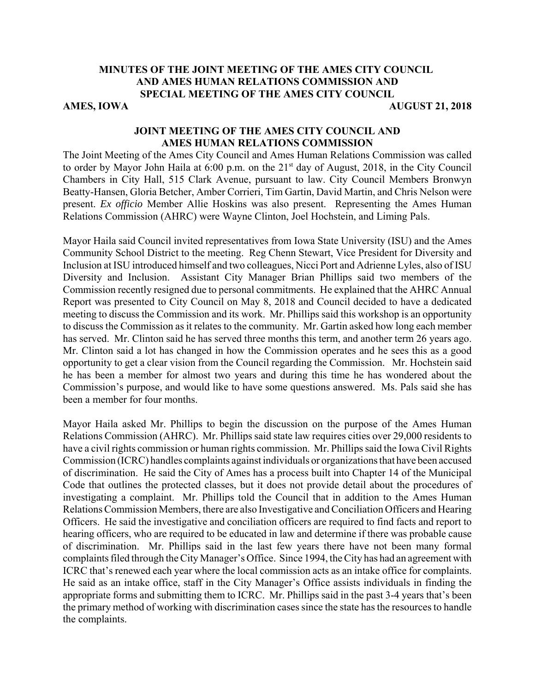## **MINUTES OF THE JOINT MEETING OF THE AMES CITY COUNCIL AND AMES HUMAN RELATIONS COMMISSION AND SPECIAL MEETING OF THE AMES CITY COUNCIL AMES, IOWA AUGUST 21, 2018**

# **JOINT MEETING OF THE AMES CITY COUNCIL AND AMES HUMAN RELATIONS COMMISSION**

The Joint Meeting of the Ames City Council and Ames Human Relations Commission was called to order by Mayor John Haila at 6:00 p.m. on the 21<sup>st</sup> day of August, 2018, in the City Council Chambers in City Hall, 515 Clark Avenue, pursuant to law. City Council Members Bronwyn Beatty-Hansen, Gloria Betcher, Amber Corrieri, Tim Gartin, David Martin, and Chris Nelson were present. *Ex officio* Member Allie Hoskins was also present. Representing the Ames Human Relations Commission (AHRC) were Wayne Clinton, Joel Hochstein, and Liming Pals.

Mayor Haila said Council invited representatives from Iowa State University (ISU) and the Ames Community School District to the meeting. Reg Chenn Stewart, Vice President for Diversity and Inclusion at ISU introduced himself and two colleagues, Nicci Port and Adrienne Lyles, also of ISU Diversity and Inclusion. Assistant City Manager Brian Phillips said two members of the Commission recently resigned due to personal commitments. He explained that the AHRC Annual Report was presented to City Council on May 8, 2018 and Council decided to have a dedicated meeting to discuss the Commission and its work. Mr. Phillips said this workshop is an opportunity to discuss the Commission as it relates to the community. Mr. Gartin asked how long each member has served. Mr. Clinton said he has served three months this term, and another term 26 years ago. Mr. Clinton said a lot has changed in how the Commission operates and he sees this as a good opportunity to get a clear vision from the Council regarding the Commission. Mr. Hochstein said he has been a member for almost two years and during this time he has wondered about the Commission's purpose, and would like to have some questions answered. Ms. Pals said she has been a member for four months.

Mayor Haila asked Mr. Phillips to begin the discussion on the purpose of the Ames Human Relations Commission (AHRC). Mr. Phillips said state law requires cities over 29,000 residents to have a civil rights commission or human rights commission. Mr. Phillips said the Iowa Civil Rights Commission (ICRC) handles complaints against individuals or organizations that have been accused of discrimination. He said the City of Ames has a process built into Chapter 14 of the Municipal Code that outlines the protected classes, but it does not provide detail about the procedures of investigating a complaint. Mr. Phillips told the Council that in addition to the Ames Human Relations Commission Members, there are also Investigative and Conciliation Officers and Hearing Officers. He said the investigative and conciliation officers are required to find facts and report to hearing officers, who are required to be educated in law and determine if there was probable cause of discrimination. Mr. Phillips said in the last few years there have not been many formal complaints filed through the City Manager's Office. Since 1994, the City has had an agreement with ICRC that's renewed each year where the local commission acts as an intake office for complaints. He said as an intake office, staff in the City Manager's Office assists individuals in finding the appropriate forms and submitting them to ICRC. Mr. Phillips said in the past 3-4 years that's been the primary method of working with discrimination cases since the state has the resources to handle the complaints.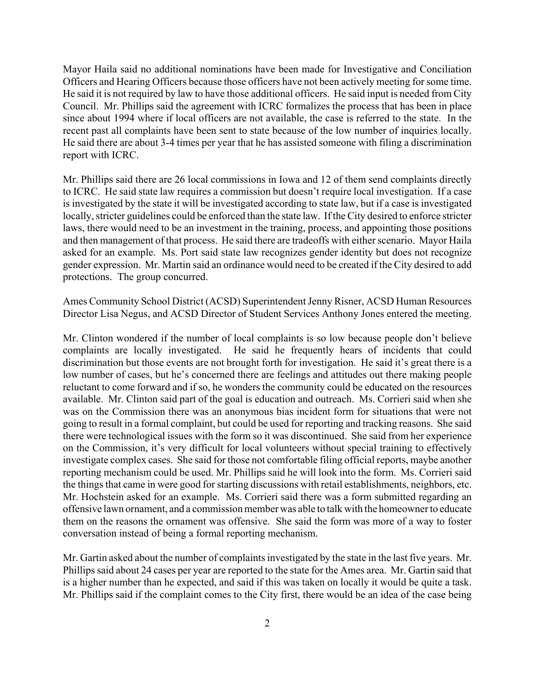Mayor Haila said no additional nominations have been made for Investigative and Conciliation Officers and Hearing Officers because those officers have not been actively meeting for some time. He said it is not required by law to have those additional officers. He said input is needed from City Council. Mr. Phillips said the agreement with ICRC formalizes the process that has been in place since about 1994 where if local officers are not available, the case is referred to the state. In the recent past all complaints have been sent to state because of the low number of inquiries locally. He said there are about 3-4 times per year that he has assisted someone with filing a discrimination report with ICRC.

Mr. Phillips said there are 26 local commissions in Iowa and 12 of them send complaints directly to ICRC. He said state law requires a commission but doesn't require local investigation. If a case is investigated by the state it will be investigated according to state law, but if a case is investigated locally, stricter guidelines could be enforced than the state law. If the City desired to enforce stricter laws, there would need to be an investment in the training, process, and appointing those positions and then management of that process. He said there are tradeoffs with either scenario. Mayor Haila asked for an example. Ms. Port said state law recognizes gender identity but does not recognize gender expression. Mr. Martin said an ordinance would need to be created if the City desired to add protections. The group concurred.

Ames Community School District (ACSD) Superintendent Jenny Risner, ACSD Human Resources Director Lisa Negus, and ACSD Director of Student Services Anthony Jones entered the meeting.

Mr. Clinton wondered if the number of local complaints is so low because people don't believe complaints are locally investigated. He said he frequently hears of incidents that could discrimination but those events are not brought forth for investigation. He said it's great there is a low number of cases, but he's concerned there are feelings and attitudes out there making people reluctant to come forward and if so, he wonders the community could be educated on the resources available. Mr. Clinton said part of the goal is education and outreach. Ms. Corrieri said when she was on the Commission there was an anonymous bias incident form for situations that were not going to result in a formal complaint, but could be used for reporting and tracking reasons. She said there were technological issues with the form so it was discontinued. She said from her experience on the Commission, it's very difficult for local volunteers without special training to effectively investigate complex cases. She said for those not comfortable filing official reports, maybe another reporting mechanism could be used. Mr. Phillips said he will look into the form. Ms. Corrieri said the things that came in were good for starting discussions with retail establishments, neighbors, etc. Mr. Hochstein asked for an example. Ms. Corrieri said there was a form submitted regarding an offensive lawn ornament, and a commission member was able to talk with the homeowner to educate them on the reasons the ornament was offensive. She said the form was more of a way to foster conversation instead of being a formal reporting mechanism.

Mr. Gartin asked about the number of complaints investigated by the state in the last five years. Mr. Phillips said about 24 cases per year are reported to the state for the Ames area. Mr. Gartin said that is a higher number than he expected, and said if this was taken on locally it would be quite a task. Mr. Phillips said if the complaint comes to the City first, there would be an idea of the case being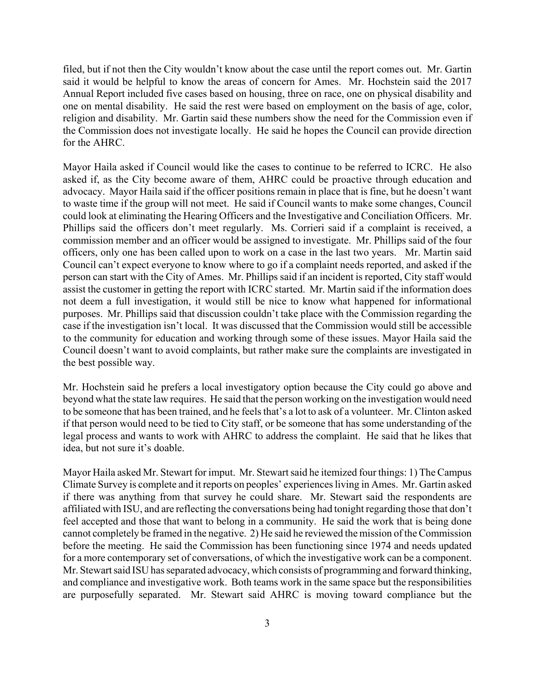filed, but if not then the City wouldn't know about the case until the report comes out. Mr. Gartin said it would be helpful to know the areas of concern for Ames. Mr. Hochstein said the 2017 Annual Report included five cases based on housing, three on race, one on physical disability and one on mental disability. He said the rest were based on employment on the basis of age, color, religion and disability. Mr. Gartin said these numbers show the need for the Commission even if the Commission does not investigate locally. He said he hopes the Council can provide direction for the AHRC.

Mayor Haila asked if Council would like the cases to continue to be referred to ICRC. He also asked if, as the City become aware of them, AHRC could be proactive through education and advocacy. Mayor Haila said if the officer positions remain in place that is fine, but he doesn't want to waste time if the group will not meet. He said if Council wants to make some changes, Council could look at eliminating the Hearing Officers and the Investigative and Conciliation Officers. Mr. Phillips said the officers don't meet regularly. Ms. Corrieri said if a complaint is received, a commission member and an officer would be assigned to investigate. Mr. Phillips said of the four officers, only one has been called upon to work on a case in the last two years. Mr. Martin said Council can't expect everyone to know where to go if a complaint needs reported, and asked if the person can start with the City of Ames. Mr. Phillips said if an incident is reported, City staff would assist the customer in getting the report with ICRC started. Mr. Martin said if the information does not deem a full investigation, it would still be nice to know what happened for informational purposes. Mr. Phillips said that discussion couldn't take place with the Commission regarding the case if the investigation isn't local. It was discussed that the Commission would still be accessible to the community for education and working through some of these issues. Mayor Haila said the Council doesn't want to avoid complaints, but rather make sure the complaints are investigated in the best possible way.

Mr. Hochstein said he prefers a local investigatory option because the City could go above and beyond what the state law requires. He said that the person working on the investigation would need to be someone that has been trained, and he feels that's a lot to ask of a volunteer. Mr. Clinton asked if that person would need to be tied to City staff, or be someone that has some understanding of the legal process and wants to work with AHRC to address the complaint. He said that he likes that idea, but not sure it's doable.

Mayor Haila asked Mr. Stewart for imput. Mr. Stewart said he itemized four things: 1) The Campus Climate Survey is complete and it reports on peoples' experiences living in Ames. Mr. Gartin asked if there was anything from that survey he could share. Mr. Stewart said the respondents are affiliated with ISU, and are reflecting the conversations being had tonight regarding those that don't feel accepted and those that want to belong in a community. He said the work that is being done cannot completely be framed in the negative. 2) He said he reviewed the mission of the Commission before the meeting. He said the Commission has been functioning since 1974 and needs updated for a more contemporary set of conversations, of which the investigative work can be a component. Mr. Stewart said ISU has separated advocacy, which consists of programming and forward thinking, and compliance and investigative work. Both teams work in the same space but the responsibilities are purposefully separated. Mr. Stewart said AHRC is moving toward compliance but the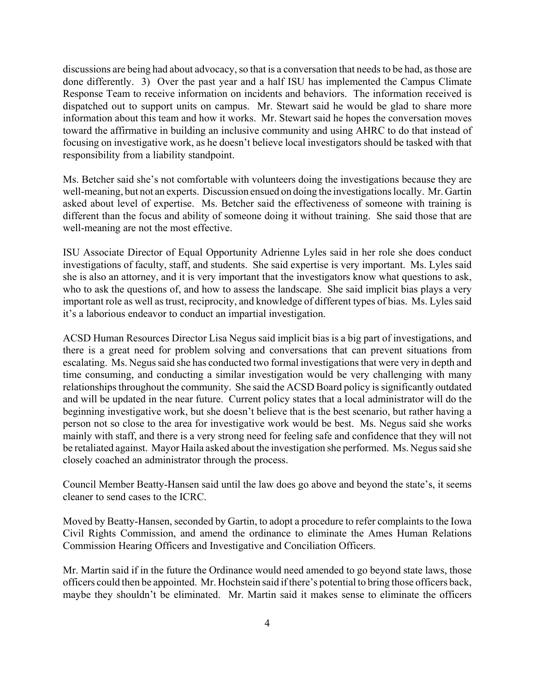discussions are being had about advocacy, so that is a conversation that needs to be had, as those are done differently. 3) Over the past year and a half ISU has implemented the Campus Climate Response Team to receive information on incidents and behaviors. The information received is dispatched out to support units on campus. Mr. Stewart said he would be glad to share more information about this team and how it works. Mr. Stewart said he hopes the conversation moves toward the affirmative in building an inclusive community and using AHRC to do that instead of focusing on investigative work, as he doesn't believe local investigators should be tasked with that responsibility from a liability standpoint.

Ms. Betcher said she's not comfortable with volunteers doing the investigations because they are well-meaning, but not an experts. Discussion ensued on doing the investigations locally. Mr. Gartin asked about level of expertise. Ms. Betcher said the effectiveness of someone with training is different than the focus and ability of someone doing it without training. She said those that are well-meaning are not the most effective.

ISU Associate Director of Equal Opportunity Adrienne Lyles said in her role she does conduct investigations of faculty, staff, and students. She said expertise is very important. Ms. Lyles said she is also an attorney, and it is very important that the investigators know what questions to ask, who to ask the questions of, and how to assess the landscape. She said implicit bias plays a very important role as well as trust, reciprocity, and knowledge of different types of bias. Ms. Lyles said it's a laborious endeavor to conduct an impartial investigation.

ACSD Human Resources Director Lisa Negus said implicit bias is a big part of investigations, and there is a great need for problem solving and conversations that can prevent situations from escalating. Ms. Negus said she has conducted two formal investigations that were very in depth and time consuming, and conducting a similar investigation would be very challenging with many relationships throughout the community. She said the ACSD Board policy is significantly outdated and will be updated in the near future. Current policy states that a local administrator will do the beginning investigative work, but she doesn't believe that is the best scenario, but rather having a person not so close to the area for investigative work would be best. Ms. Negus said she works mainly with staff, and there is a very strong need for feeling safe and confidence that they will not be retaliated against. Mayor Haila asked about the investigation she performed. Ms. Negus said she closely coached an administrator through the process.

Council Member Beatty-Hansen said until the law does go above and beyond the state's, it seems cleaner to send cases to the ICRC.

Moved by Beatty-Hansen, seconded by Gartin, to adopt a procedure to refer complaints to the Iowa Civil Rights Commission, and amend the ordinance to eliminate the Ames Human Relations Commission Hearing Officers and Investigative and Conciliation Officers.

Mr. Martin said if in the future the Ordinance would need amended to go beyond state laws, those officers could then be appointed. Mr. Hochstein said if there's potential to bring those officers back, maybe they shouldn't be eliminated. Mr. Martin said it makes sense to eliminate the officers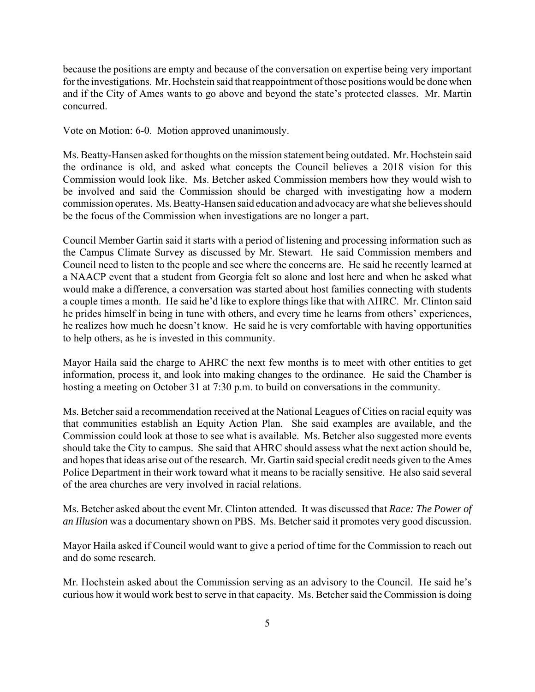because the positions are empty and because of the conversation on expertise being very important for the investigations. Mr. Hochstein said that reappointment of those positions would be done when and if the City of Ames wants to go above and beyond the state's protected classes. Mr. Martin concurred.

Vote on Motion: 6-0. Motion approved unanimously.

Ms. Beatty-Hansen asked for thoughts on the mission statement being outdated. Mr. Hochstein said the ordinance is old, and asked what concepts the Council believes a 2018 vision for this Commission would look like. Ms. Betcher asked Commission members how they would wish to be involved and said the Commission should be charged with investigating how a modern commission operates. Ms. Beatty-Hansen said education and advocacy are what she believes should be the focus of the Commission when investigations are no longer a part.

Council Member Gartin said it starts with a period of listening and processing information such as the Campus Climate Survey as discussed by Mr. Stewart. He said Commission members and Council need to listen to the people and see where the concerns are. He said he recently learned at a NAACP event that a student from Georgia felt so alone and lost here and when he asked what would make a difference, a conversation was started about host families connecting with students a couple times a month. He said he'd like to explore things like that with AHRC. Mr. Clinton said he prides himself in being in tune with others, and every time he learns from others' experiences, he realizes how much he doesn't know. He said he is very comfortable with having opportunities to help others, as he is invested in this community.

Mayor Haila said the charge to AHRC the next few months is to meet with other entities to get information, process it, and look into making changes to the ordinance. He said the Chamber is hosting a meeting on October 31 at 7:30 p.m. to build on conversations in the community.

Ms. Betcher said a recommendation received at the National Leagues of Cities on racial equity was that communities establish an Equity Action Plan. She said examples are available, and the Commission could look at those to see what is available. Ms. Betcher also suggested more events should take the City to campus. She said that AHRC should assess what the next action should be, and hopes that ideas arise out of the research. Mr. Gartin said special credit needs given to the Ames Police Department in their work toward what it means to be racially sensitive. He also said several of the area churches are very involved in racial relations.

Ms. Betcher asked about the event Mr. Clinton attended. It was discussed that *Race: The Power of an Illusion* was a documentary shown on PBS. Ms. Betcher said it promotes very good discussion.

Mayor Haila asked if Council would want to give a period of time for the Commission to reach out and do some research.

Mr. Hochstein asked about the Commission serving as an advisory to the Council. He said he's curious how it would work best to serve in that capacity. Ms. Betcher said the Commission is doing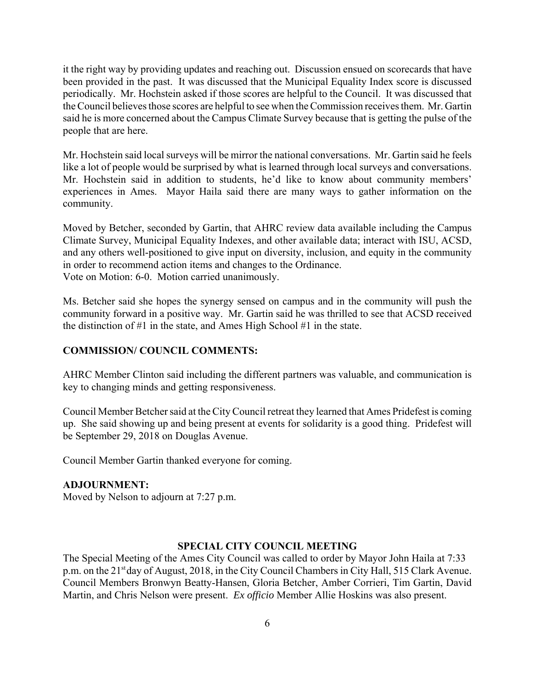it the right way by providing updates and reaching out. Discussion ensued on scorecards that have been provided in the past. It was discussed that the Municipal Equality Index score is discussed periodically. Mr. Hochstein asked if those scores are helpful to the Council. It was discussed that the Council believes those scores are helpful to see when the Commission receives them. Mr. Gartin said he is more concerned about the Campus Climate Survey because that is getting the pulse of the people that are here.

Mr. Hochstein said local surveys will be mirror the national conversations. Mr. Gartin said he feels like a lot of people would be surprised by what is learned through local surveys and conversations. Mr. Hochstein said in addition to students, he'd like to know about community members' experiences in Ames. Mayor Haila said there are many ways to gather information on the community.

Moved by Betcher, seconded by Gartin, that AHRC review data available including the Campus Climate Survey, Municipal Equality Indexes, and other available data; interact with ISU, ACSD, and any others well-positioned to give input on diversity, inclusion, and equity in the community in order to recommend action items and changes to the Ordinance. Vote on Motion: 6-0. Motion carried unanimously.

Ms. Betcher said she hopes the synergy sensed on campus and in the community will push the community forward in a positive way. Mr. Gartin said he was thrilled to see that ACSD received the distinction of #1 in the state, and Ames High School #1 in the state.

#### **COMMISSION/ COUNCIL COMMENTS:**

AHRC Member Clinton said including the different partners was valuable, and communication is key to changing minds and getting responsiveness.

Council Member Betcher said at the City Council retreat they learned that Ames Pridefest is coming up. She said showing up and being present at events for solidarity is a good thing. Pridefest will be September 29, 2018 on Douglas Avenue.

Council Member Gartin thanked everyone for coming.

### **ADJOURNMENT:**

Moved by Nelson to adjourn at 7:27 p.m.

#### **SPECIAL CITY COUNCIL MEETING**

The Special Meeting of the Ames City Council was called to order by Mayor John Haila at 7:33 p.m. on the 21<sup>st</sup> day of August, 2018, in the City Council Chambers in City Hall, 515 Clark Avenue. Council Members Bronwyn Beatty-Hansen, Gloria Betcher, Amber Corrieri, Tim Gartin, David Martin, and Chris Nelson were present. *Ex officio* Member Allie Hoskins was also present.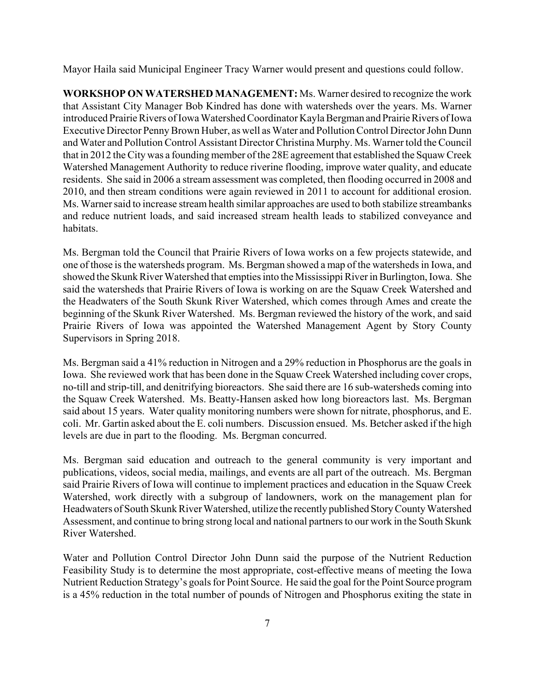Mayor Haila said Municipal Engineer Tracy Warner would present and questions could follow.

**WORKSHOP ON WATERSHED MANAGEMENT:** Ms. Warner desired to recognize the work that Assistant City Manager Bob Kindred has done with watersheds over the years. Ms. Warner introduced Prairie Rivers of Iowa Watershed Coordinator Kayla Bergman and Prairie Rivers of Iowa Executive Director Penny Brown Huber, as well as Water and Pollution Control Director John Dunn and Water and Pollution Control Assistant Director Christina Murphy. Ms. Warner told the Council that in 2012 the City was a founding member of the 28E agreement that established the Squaw Creek Watershed Management Authority to reduce riverine flooding, improve water quality, and educate residents. She said in 2006 a stream assessment was completed, then flooding occurred in 2008 and 2010, and then stream conditions were again reviewed in 2011 to account for additional erosion. Ms. Warner said to increase stream health similar approaches are used to both stabilize streambanks and reduce nutrient loads, and said increased stream health leads to stabilized conveyance and habitats.

Ms. Bergman told the Council that Prairie Rivers of Iowa works on a few projects statewide, and one of those is the watersheds program. Ms. Bergman showed a map of the watersheds in Iowa, and showed the Skunk River Watershed that empties into the Mississippi River in Burlington, Iowa. She said the watersheds that Prairie Rivers of Iowa is working on are the Squaw Creek Watershed and the Headwaters of the South Skunk River Watershed, which comes through Ames and create the beginning of the Skunk River Watershed. Ms. Bergman reviewed the history of the work, and said Prairie Rivers of Iowa was appointed the Watershed Management Agent by Story County Supervisors in Spring 2018.

Ms. Bergman said a 41% reduction in Nitrogen and a 29% reduction in Phosphorus are the goals in Iowa. She reviewed work that has been done in the Squaw Creek Watershed including cover crops, no-till and strip-till, and denitrifying bioreactors. She said there are 16 sub-watersheds coming into the Squaw Creek Watershed. Ms. Beatty-Hansen asked how long bioreactors last. Ms. Bergman said about 15 years. Water quality monitoring numbers were shown for nitrate, phosphorus, and E. coli. Mr. Gartin asked about the E. coli numbers. Discussion ensued. Ms. Betcher asked if the high levels are due in part to the flooding. Ms. Bergman concurred.

Ms. Bergman said education and outreach to the general community is very important and publications, videos, social media, mailings, and events are all part of the outreach. Ms. Bergman said Prairie Rivers of Iowa will continue to implement practices and education in the Squaw Creek Watershed, work directly with a subgroup of landowners, work on the management plan for Headwaters of South Skunk River Watershed, utilize the recently published Story County Watershed Assessment, and continue to bring strong local and national partners to our work in the South Skunk River Watershed.

Water and Pollution Control Director John Dunn said the purpose of the Nutrient Reduction Feasibility Study is to determine the most appropriate, cost-effective means of meeting the Iowa Nutrient Reduction Strategy's goals for Point Source. He said the goal for the Point Source program is a 45% reduction in the total number of pounds of Nitrogen and Phosphorus exiting the state in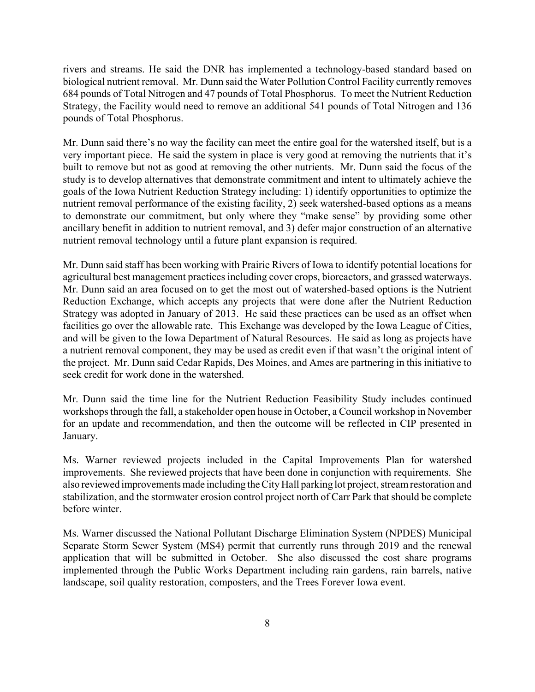rivers and streams. He said the DNR has implemented a technology-based standard based on biological nutrient removal. Mr. Dunn said the Water Pollution Control Facility currently removes 684 pounds of Total Nitrogen and 47 pounds of Total Phosphorus. To meet the Nutrient Reduction Strategy, the Facility would need to remove an additional 541 pounds of Total Nitrogen and 136 pounds of Total Phosphorus.

Mr. Dunn said there's no way the facility can meet the entire goal for the watershed itself, but is a very important piece. He said the system in place is very good at removing the nutrients that it's built to remove but not as good at removing the other nutrients. Mr. Dunn said the focus of the study is to develop alternatives that demonstrate commitment and intent to ultimately achieve the goals of the Iowa Nutrient Reduction Strategy including: 1) identify opportunities to optimize the nutrient removal performance of the existing facility, 2) seek watershed-based options as a means to demonstrate our commitment, but only where they "make sense" by providing some other ancillary benefit in addition to nutrient removal, and 3) defer major construction of an alternative nutrient removal technology until a future plant expansion is required.

Mr. Dunn said staff has been working with Prairie Rivers of Iowa to identify potential locations for agricultural best management practices including cover crops, bioreactors, and grassed waterways. Mr. Dunn said an area focused on to get the most out of watershed-based options is the Nutrient Reduction Exchange, which accepts any projects that were done after the Nutrient Reduction Strategy was adopted in January of 2013. He said these practices can be used as an offset when facilities go over the allowable rate. This Exchange was developed by the Iowa League of Cities, and will be given to the Iowa Department of Natural Resources. He said as long as projects have a nutrient removal component, they may be used as credit even if that wasn't the original intent of the project. Mr. Dunn said Cedar Rapids, Des Moines, and Ames are partnering in this initiative to seek credit for work done in the watershed.

Mr. Dunn said the time line for the Nutrient Reduction Feasibility Study includes continued workshops through the fall, a stakeholder open house in October, a Council workshop in November for an update and recommendation, and then the outcome will be reflected in CIP presented in January.

Ms. Warner reviewed projects included in the Capital Improvements Plan for watershed improvements. She reviewed projects that have been done in conjunction with requirements. She also reviewed improvements made including the City Hall parking lot project, stream restoration and stabilization, and the stormwater erosion control project north of Carr Park that should be complete before winter.

Ms. Warner discussed the National Pollutant Discharge Elimination System (NPDES) Municipal Separate Storm Sewer System (MS4) permit that currently runs through 2019 and the renewal application that will be submitted in October. She also discussed the cost share programs implemented through the Public Works Department including rain gardens, rain barrels, native landscape, soil quality restoration, composters, and the Trees Forever Iowa event.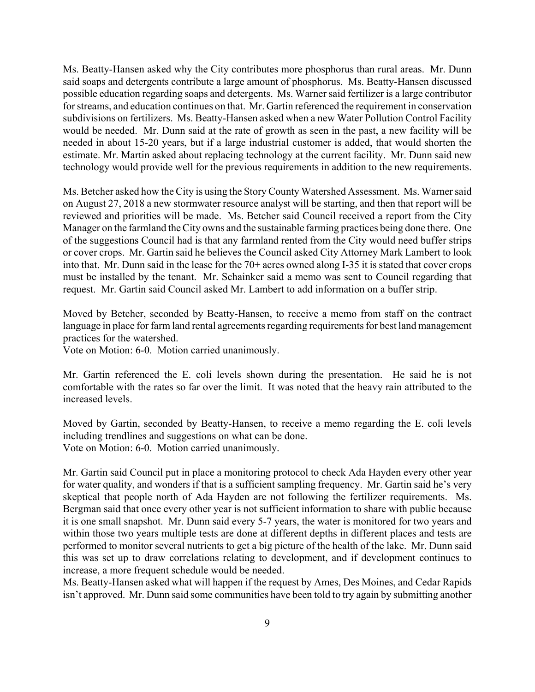Ms. Beatty-Hansen asked why the City contributes more phosphorus than rural areas. Mr. Dunn said soaps and detergents contribute a large amount of phosphorus. Ms. Beatty-Hansen discussed possible education regarding soaps and detergents. Ms. Warner said fertilizer is a large contributor for streams, and education continues on that. Mr. Gartin referenced the requirement in conservation subdivisions on fertilizers. Ms. Beatty-Hansen asked when a new Water Pollution Control Facility would be needed. Mr. Dunn said at the rate of growth as seen in the past, a new facility will be needed in about 15-20 years, but if a large industrial customer is added, that would shorten the estimate. Mr. Martin asked about replacing technology at the current facility. Mr. Dunn said new technology would provide well for the previous requirements in addition to the new requirements.

Ms. Betcher asked how the City is using the Story County Watershed Assessment. Ms. Warner said on August 27, 2018 a new stormwater resource analyst will be starting, and then that report will be reviewed and priorities will be made. Ms. Betcher said Council received a report from the City Manager on the farmland the City owns and the sustainable farming practices being done there. One of the suggestions Council had is that any farmland rented from the City would need buffer strips or cover crops. Mr. Gartin said he believes the Council asked City Attorney Mark Lambert to look into that. Mr. Dunn said in the lease for the 70+ acres owned along I-35 it is stated that cover crops must be installed by the tenant. Mr. Schainker said a memo was sent to Council regarding that request. Mr. Gartin said Council asked Mr. Lambert to add information on a buffer strip.

Moved by Betcher, seconded by Beatty-Hansen, to receive a memo from staff on the contract language in place for farm land rental agreements regarding requirements for best land management practices for the watershed.

Vote on Motion: 6-0. Motion carried unanimously.

Mr. Gartin referenced the E. coli levels shown during the presentation. He said he is not comfortable with the rates so far over the limit. It was noted that the heavy rain attributed to the increased levels.

Moved by Gartin, seconded by Beatty-Hansen, to receive a memo regarding the E. coli levels including trendlines and suggestions on what can be done. Vote on Motion: 6-0. Motion carried unanimously.

Mr. Gartin said Council put in place a monitoring protocol to check Ada Hayden every other year for water quality, and wonders if that is a sufficient sampling frequency. Mr. Gartin said he's very skeptical that people north of Ada Hayden are not following the fertilizer requirements. Ms. Bergman said that once every other year is not sufficient information to share with public because it is one small snapshot. Mr. Dunn said every 5-7 years, the water is monitored for two years and within those two years multiple tests are done at different depths in different places and tests are performed to monitor several nutrients to get a big picture of the health of the lake. Mr. Dunn said this was set up to draw correlations relating to development, and if development continues to increase, a more frequent schedule would be needed.

Ms. Beatty-Hansen asked what will happen if the request by Ames, Des Moines, and Cedar Rapids isn't approved. Mr. Dunn said some communities have been told to try again by submitting another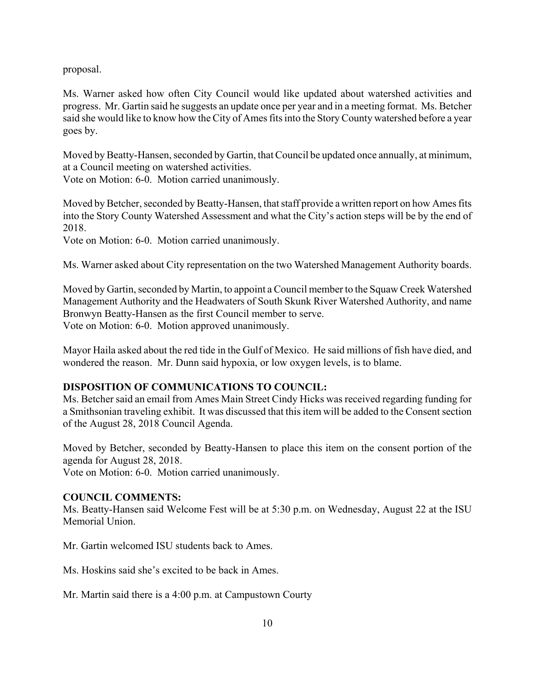proposal.

Ms. Warner asked how often City Council would like updated about watershed activities and progress. Mr. Gartin said he suggests an update once per year and in a meeting format. Ms. Betcher said she would like to know how the City of Ames fits into the Story County watershed before a year goes by.

Moved by Beatty-Hansen, seconded by Gartin, that Council be updated once annually, at minimum, at a Council meeting on watershed activities.

Vote on Motion: 6-0. Motion carried unanimously.

Moved by Betcher, seconded by Beatty-Hansen, that staff provide a written report on how Ames fits into the Story County Watershed Assessment and what the City's action steps will be by the end of 2018.

Vote on Motion: 6-0. Motion carried unanimously.

Ms. Warner asked about City representation on the two Watershed Management Authority boards.

Moved by Gartin, seconded by Martin, to appoint a Council member to the Squaw Creek Watershed Management Authority and the Headwaters of South Skunk River Watershed Authority, and name Bronwyn Beatty-Hansen as the first Council member to serve. Vote on Motion: 6-0. Motion approved unanimously.

Mayor Haila asked about the red tide in the Gulf of Mexico. He said millions of fish have died, and wondered the reason. Mr. Dunn said hypoxia, or low oxygen levels, is to blame.

## **DISPOSITION OF COMMUNICATIONS TO COUNCIL:**

Ms. Betcher said an email from Ames Main Street Cindy Hicks was received regarding funding for a Smithsonian traveling exhibit. It was discussed that this item will be added to the Consent section of the August 28, 2018 Council Agenda.

Moved by Betcher, seconded by Beatty-Hansen to place this item on the consent portion of the agenda for August 28, 2018.

Vote on Motion: 6-0. Motion carried unanimously.

## **COUNCIL COMMENTS:**

Ms. Beatty-Hansen said Welcome Fest will be at 5:30 p.m. on Wednesday, August 22 at the ISU Memorial Union.

Mr. Gartin welcomed ISU students back to Ames.

Ms. Hoskins said she's excited to be back in Ames.

Mr. Martin said there is a 4:00 p.m. at Campustown Courty